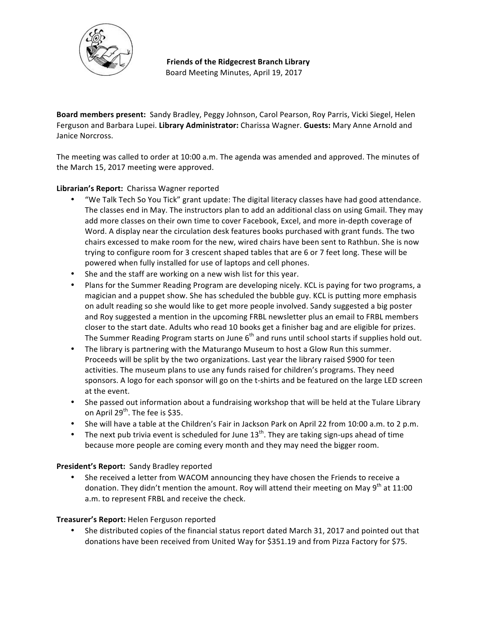

**Friends of the Ridgecrest Branch Library** Board Meeting Minutes, April 19, 2017

**Board members present:** Sandy Bradley, Peggy Johnson, Carol Pearson, Roy Parris, Vicki Siegel, Helen Ferguson and Barbara Lupei. Library Administrator: Charissa Wagner. Guests: Mary Anne Arnold and Janice Norcross.

The meeting was called to order at 10:00 a.m. The agenda was amended and approved. The minutes of the March 15, 2017 meeting were approved.

# Librarian's Report: Charissa Wagner reported

- "We Talk Tech So You Tick" grant update: The digital literacy classes have had good attendance. The classes end in May. The instructors plan to add an additional class on using Gmail. They may add more classes on their own time to cover Facebook, Excel, and more in-depth coverage of Word. A display near the circulation desk features books purchased with grant funds. The two chairs excessed to make room for the new, wired chairs have been sent to Rathbun. She is now trying to configure room for 3 crescent shaped tables that are 6 or 7 feet long. These will be powered when fully installed for use of laptops and cell phones.
- She and the staff are working on a new wish list for this year.
- Plans for the Summer Reading Program are developing nicely. KCL is paying for two programs, a magician and a puppet show. She has scheduled the bubble guy. KCL is putting more emphasis on adult reading so she would like to get more people involved. Sandy suggested a big poster and Roy suggested a mention in the upcoming FRBL newsletter plus an email to FRBL members closer to the start date. Adults who read 10 books get a finisher bag and are eligible for prizes. The Summer Reading Program starts on June  $6<sup>th</sup>$  and runs until school starts if supplies hold out.
- The library is partnering with the Maturango Museum to host a Glow Run this summer. Proceeds will be split by the two organizations. Last year the library raised \$900 for teen activities. The museum plans to use any funds raised for children's programs. They need sponsors. A logo for each sponsor will go on the t-shirts and be featured on the large LED screen at the event.
- She passed out information about a fundraising workshop that will be held at the Tulare Library on April  $29^{th}$ . The fee is \$35.
- She will have a table at the Children's Fair in Jackson Park on April 22 from 10:00 a.m. to 2 p.m.
- The next pub trivia event is scheduled for June  $13^{th}$ . They are taking sign-ups ahead of time because more people are coming every month and they may need the bigger room.

## President's Report: Sandy Bradley reported

She received a letter from WACOM announcing they have chosen the Friends to receive a donation. They didn't mention the amount. Roy will attend their meeting on May  $9^{th}$  at 11:00 a.m. to represent FRBL and receive the check.

## **Treasurer's Report:** Helen Ferguson reported

She distributed copies of the financial status report dated March 31, 2017 and pointed out that donations have been received from United Way for \$351.19 and from Pizza Factory for \$75.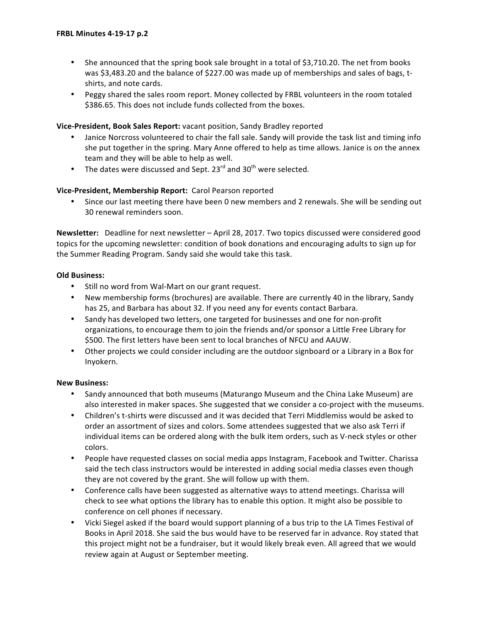- She announced that the spring book sale brought in a total of \$3,710.20. The net from books was \$3,483.20 and the balance of \$227.00 was made up of memberships and sales of bags, tshirts, and note cards.
- Peggy shared the sales room report. Money collected by FRBL volunteers in the room totaled \$386.65. This does not include funds collected from the boxes.

### **Vice-President, Book Sales Report:** vacant position, Sandy Bradley reported

- Janice Norcross volunteered to chair the fall sale. Sandy will provide the task list and timing info she put together in the spring. Mary Anne offered to help as time allows. Janice is on the annex team and they will be able to help as well.
- The dates were discussed and Sept. 23 $^{rd}$  and 30<sup>th</sup> were selected.

## Vice-President, Membership Report: Carol Pearson reported

• Since our last meeting there have been 0 new members and 2 renewals. She will be sending out 30 renewal reminders soon.

Newsletter: Deadline for next newsletter - April 28, 2017. Two topics discussed were considered good topics for the upcoming newsletter: condition of book donations and encouraging adults to sign up for the Summer Reading Program. Sandy said she would take this task.

## **Old Business:**

- Still no word from Wal-Mart on our grant request.
- New membership forms (brochures) are available. There are currently 40 in the library, Sandy has 25, and Barbara has about 32. If you need any for events contact Barbara.
- Sandy has developed two letters, one targeted for businesses and one for non-profit organizations, to encourage them to join the friends and/or sponsor a Little Free Library for \$500. The first letters have been sent to local branches of NFCU and AAUW.
- Other projects we could consider including are the outdoor signboard or a Library in a Box for Inyokern.

## **New Business:**

- Sandy announced that both museums (Maturango Museum and the China Lake Museum) are also interested in maker spaces. She suggested that we consider a co-project with the museums.
- Children's t-shirts were discussed and it was decided that Terri Middlemiss would be asked to order an assortment of sizes and colors. Some attendees suggested that we also ask Terri if individual items can be ordered along with the bulk item orders, such as V-neck styles or other colors.
- People have requested classes on social media apps Instagram, Facebook and Twitter. Charissa said the tech class instructors would be interested in adding social media classes even though they are not covered by the grant. She will follow up with them.
- Conference calls have been suggested as alternative ways to attend meetings. Charissa will check to see what options the library has to enable this option. It might also be possible to conference on cell phones if necessary.
- Vicki Siegel asked if the board would support planning of a bus trip to the LA Times Festival of Books in April 2018. She said the bus would have to be reserved far in advance. Roy stated that this project might not be a fundraiser, but it would likely break even. All agreed that we would review again at August or September meeting.